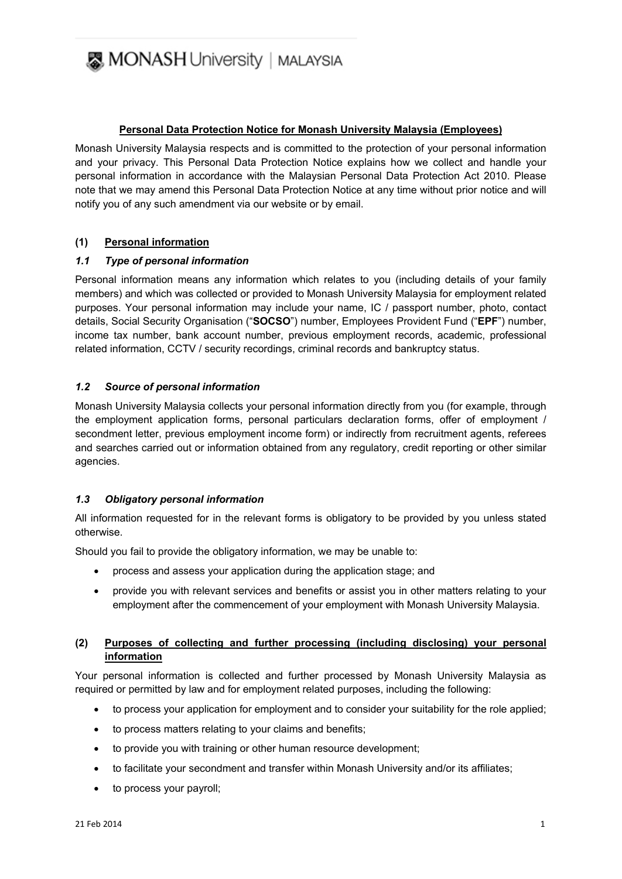

# **Personal Data Protection Notice for Monash University Malaysia (Employees)**

Monash University Malaysia respects and is committed to the protection of your personal information and your privacy. This Personal Data Protection Notice explains how we collect and handle your personal information in accordance with the Malaysian Personal Data Protection Act 2010. Please note that we may amend this Personal Data Protection Notice at any time without prior notice and will notify you of any such amendment via our website or by email.

# **(1) Personal information**

# *1.1 Type of personal information*

Personal information means any information which relates to you (including details of your family members) and which was collected or provided to Monash University Malaysia for employment related purposes. Your personal information may include your name, IC / passport number, photo, contact details, Social Security Organisation ("**SOCSO**") number, Employees Provident Fund ("**EPF**") number, income tax number, bank account number, previous employment records, academic, professional related information, CCTV / security recordings, criminal records and bankruptcy status.

# *1.2 Source of personal information*

Monash University Malaysia collects your personal information directly from you (for example, through the employment application forms, personal particulars declaration forms, offer of employment / secondment letter, previous employment income form) or indirectly from recruitment agents, referees and searches carried out or information obtained from any regulatory, credit reporting or other similar agencies.

#### *1.3 Obligatory personal information*

All information requested for in the relevant forms is obligatory to be provided by you unless stated otherwise.

Should you fail to provide the obligatory information, we may be unable to:

- process and assess your application during the application stage; and
- provide you with relevant services and benefits or assist you in other matters relating to your employment after the commencement of your employment with Monash University Malaysia.

# **(2) Purposes of collecting and further processing (including disclosing) your personal information**

Your personal information is collected and further processed by Monash University Malaysia as required or permitted by law and for employment related purposes, including the following:

- to process your application for employment and to consider your suitability for the role applied;
- to process matters relating to your claims and benefits;
- to provide you with training or other human resource development;
- to facilitate your secondment and transfer within Monash University and/or its affiliates;
- to process your payroll;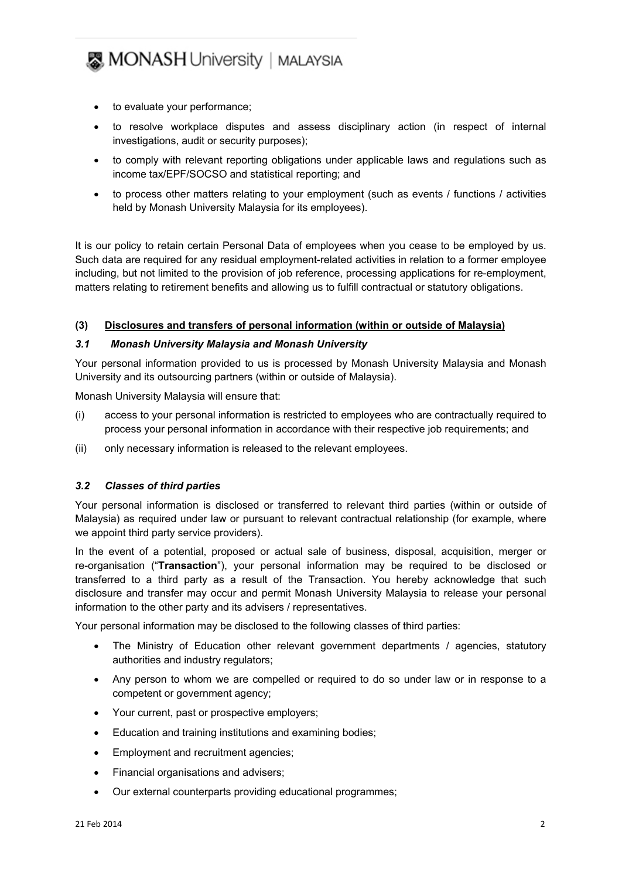- to evaluate your performance;
- to resolve workplace disputes and assess disciplinary action (in respect of internal investigations, audit or security purposes);
- to comply with relevant reporting obligations under applicable laws and regulations such as income tax/EPF/SOCSO and statistical reporting; and
- to process other matters relating to your employment (such as events / functions / activities held by Monash University Malaysia for its employees).

It is our policy to retain certain Personal Data of employees when you cease to be employed by us. Such data are required for any residual employment-related activities in relation to a former employee including, but not limited to the provision of job reference, processing applications for re-employment, matters relating to retirement benefits and allowing us to fulfill contractual or statutory obligations.

#### **(3) Disclosures and transfers of personal information (within or outside of Malaysia)**

#### *3.1 Monash University Malaysia and Monash University*

Your personal information provided to us is processed by Monash University Malaysia and Monash University and its outsourcing partners (within or outside of Malaysia).

Monash University Malaysia will ensure that:

- (i) access to your personal information is restricted to employees who are contractually required to process your personal information in accordance with their respective job requirements; and
- (ii) only necessary information is released to the relevant employees.

#### *3.2 Classes of third parties*

Your personal information is disclosed or transferred to relevant third parties (within or outside of Malaysia) as required under law or pursuant to relevant contractual relationship (for example, where we appoint third party service providers).

In the event of a potential, proposed or actual sale of business, disposal, acquisition, merger or re-organisation ("**Transaction**"), your personal information may be required to be disclosed or transferred to a third party as a result of the Transaction. You hereby acknowledge that such disclosure and transfer may occur and permit Monash University Malaysia to release your personal information to the other party and its advisers / representatives.

Your personal information may be disclosed to the following classes of third parties:

- The Ministry of Education other relevant government departments / agencies, statutory authorities and industry regulators;
- Any person to whom we are compelled or required to do so under law or in response to a competent or government agency;
- Your current, past or prospective employers;
- Education and training institutions and examining bodies;
- Employment and recruitment agencies;
- Financial organisations and advisers;
- Our external counterparts providing educational programmes;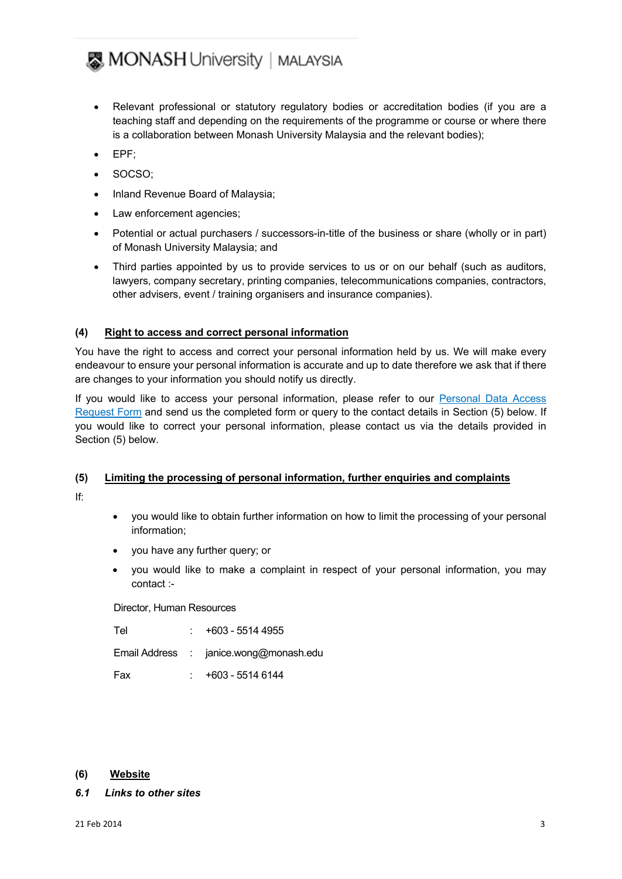- Relevant professional or statutory regulatory bodies or accreditation bodies (if you are a teaching staff and depending on the requirements of the programme or course or where there is a collaboration between Monash University Malaysia and the relevant bodies);
- EPF;
- SOCSO;
- Inland Revenue Board of Malaysia;
- Law enforcement agencies;
- Potential or actual purchasers / successors-in-title of the business or share (wholly or in part) of Monash University Malaysia; and
- Third parties appointed by us to provide services to us or on our behalf (such as auditors, lawyers, company secretary, printing companies, telecommunications companies, contractors, other advisers, event / training organisers and insurance companies).

# **(4) Right to access and correct personal information**

You have the right to access and correct your personal information held by us. We will make every endeavour to ensure your personal information is accurate and up to date therefore we ask that if there are changes to your information you should notify us directly.

If you would like to access your personal information, please refer to our Personal Data Access [Request Form](http://intranet.monash.edu.my/hr/PDPA/MONASH%20Data%20Access%20Request%20form.doc) and send us the completed form or query to the contact details in Section (5) below. If you would like to correct your personal information, please contact us via the details provided in Section (5) below.

# **(5) Limiting the processing of personal information, further enquiries and complaints**

If:

- you would like to obtain further information on how to limit the processing of your personal information;
- you have any further query; or
- you would like to make a complaint in respect of your personal information, you may contact :-

Director, Human Resources

| Tel | +603 - 5514 4955                       |
|-----|----------------------------------------|
|     | Email Address : janice.wong@monash.edu |
| Fax | +603 - 5514 6144                       |

# **(6) Website**

# *6.1 Links to other sites*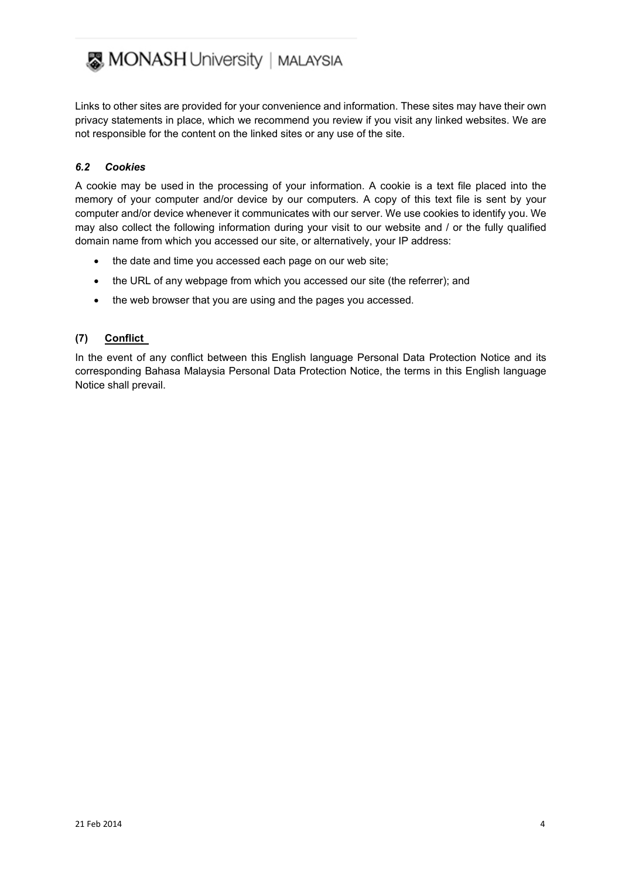Links to other sites are provided for your convenience and information. These sites may have their own privacy statements in place, which we recommend you review if you visit any linked websites. We are not responsible for the content on the linked sites or any use of the site.

# *6.2 Cookies*

A cookie may be used in the processing of your information. A cookie is a text file placed into the memory of your computer and/or device by our computers. A copy of this text file is sent by your computer and/or device whenever it communicates with our server. We use cookies to identify you. We may also collect the following information during your visit to our website and / or the fully qualified domain name from which you accessed our site, or alternatively, your IP address:

- the date and time you accessed each page on our web site;
- the URL of any webpage from which you accessed our site (the referrer); and
- the web browser that you are using and the pages you accessed.

# **(7) Conflict**

In the event of any conflict between this English language Personal Data Protection Notice and its corresponding Bahasa Malaysia Personal Data Protection Notice, the terms in this English language Notice shall prevail.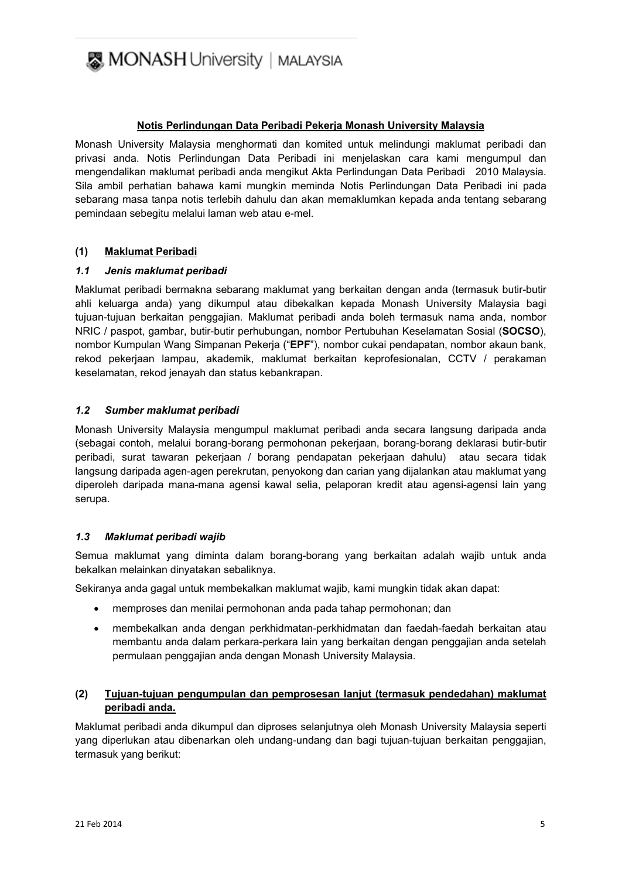

# **Notis Perlindungan Data Peribadi Pekerja Monash University Malaysia**

Monash University Malaysia menghormati dan komited untuk melindungi maklumat peribadi dan privasi anda. Notis Perlindungan Data Peribadi ini menjelaskan cara kami mengumpul dan mengendalikan maklumat peribadi anda mengikut Akta Perlindungan Data Peribadi 2010 Malaysia. Sila ambil perhatian bahawa kami mungkin meminda Notis Perlindungan Data Peribadi ini pada sebarang masa tanpa notis terlebih dahulu dan akan memaklumkan kepada anda tentang sebarang pemindaan sebegitu melalui laman web atau e-mel.

#### **(1) Maklumat Peribadi**

#### *1.1 Jenis maklumat peribadi*

Maklumat peribadi bermakna sebarang maklumat yang berkaitan dengan anda (termasuk butir-butir ahli keluarga anda) yang dikumpul atau dibekalkan kepada Monash University Malaysia bagi tujuan-tujuan berkaitan penggajian. Maklumat peribadi anda boleh termasuk nama anda, nombor NRIC / paspot, gambar, butir-butir perhubungan, nombor Pertubuhan Keselamatan Sosial (**SOCSO**), nombor Kumpulan Wang Simpanan Pekerja ("**EPF**"), nombor cukai pendapatan, nombor akaun bank, rekod pekerjaan lampau, akademik, maklumat berkaitan keprofesionalan, CCTV / perakaman keselamatan, rekod jenayah dan status kebankrapan.

#### *1.2 Sumber maklumat peribadi*

Monash University Malaysia mengumpul maklumat peribadi anda secara langsung daripada anda (sebagai contoh, melalui borang-borang permohonan pekerjaan, borang-borang deklarasi butir-butir peribadi, surat tawaran pekerjaan / borang pendapatan pekerjaan dahulu) atau secara tidak langsung daripada agen-agen perekrutan, penyokong dan carian yang dijalankan atau maklumat yang diperoleh daripada mana-mana agensi kawal selia, pelaporan kredit atau agensi-agensi lain yang serupa.

#### *1.3 Maklumat peribadi wajib*

Semua maklumat yang diminta dalam borang-borang yang berkaitan adalah wajib untuk anda bekalkan melainkan dinyatakan sebaliknya.

Sekiranya anda gagal untuk membekalkan maklumat wajib, kami mungkin tidak akan dapat:

- memproses dan menilai permohonan anda pada tahap permohonan; dan
- membekalkan anda dengan perkhidmatan-perkhidmatan dan faedah-faedah berkaitan atau membantu anda dalam perkara-perkara lain yang berkaitan dengan penggajian anda setelah permulaan penggajian anda dengan Monash University Malaysia.

# **(2) Tujuan-tujuan pengumpulan dan pemprosesan lanjut (termasuk pendedahan) maklumat peribadi anda.**

Maklumat peribadi anda dikumpul dan diproses selanjutnya oleh Monash University Malaysia seperti yang diperlukan atau dibenarkan oleh undang-undang dan bagi tujuan-tujuan berkaitan penggajian, termasuk yang berikut: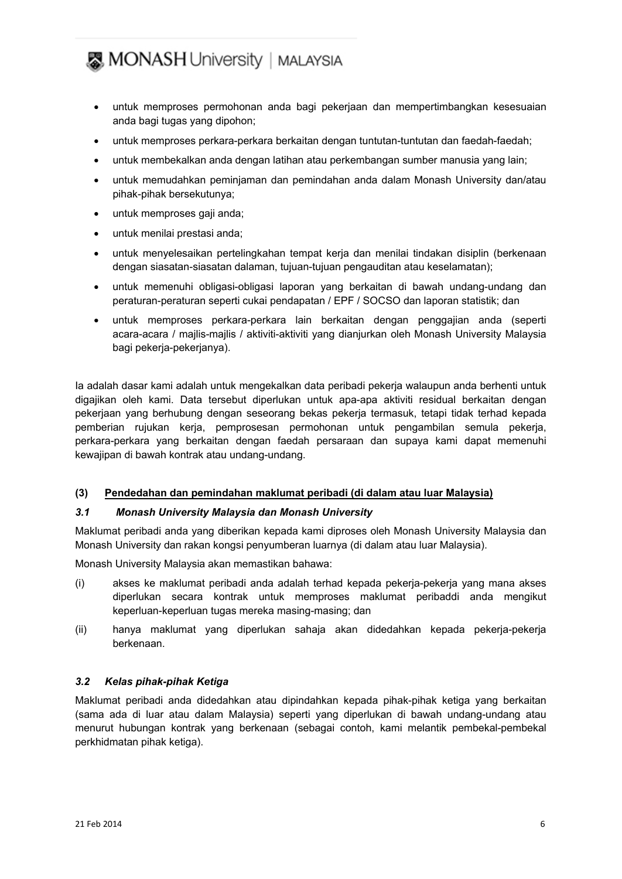- untuk memproses permohonan anda bagi pekerjaan dan mempertimbangkan kesesuaian anda bagi tugas yang dipohon;
- untuk memproses perkara-perkara berkaitan dengan tuntutan-tuntutan dan faedah-faedah;
- untuk membekalkan anda dengan latihan atau perkembangan sumber manusia yang lain;
- untuk memudahkan peminjaman dan pemindahan anda dalam Monash University dan/atau pihak-pihak bersekutunya;
- untuk memproses gaji anda;
- untuk menilai prestasi anda;
- untuk menyelesaikan pertelingkahan tempat kerja dan menilai tindakan disiplin (berkenaan dengan siasatan-siasatan dalaman, tujuan-tujuan pengauditan atau keselamatan);
- untuk memenuhi obligasi-obligasi laporan yang berkaitan di bawah undang-undang dan peraturan-peraturan seperti cukai pendapatan / EPF / SOCSO dan laporan statistik; dan
- untuk memproses perkara-perkara lain berkaitan dengan penggajian anda (seperti acara-acara / majlis-majlis / aktiviti-aktiviti yang dianjurkan oleh Monash University Malaysia bagi pekerja-pekerjanya).

Ia adalah dasar kami adalah untuk mengekalkan data peribadi pekerja walaupun anda berhenti untuk digajikan oleh kami. Data tersebut diperlukan untuk apa-apa aktiviti residual berkaitan dengan pekerjaan yang berhubung dengan seseorang bekas pekerja termasuk, tetapi tidak terhad kepada pemberian rujukan kerja, pemprosesan permohonan untuk pengambilan semula pekerja, perkara-perkara yang berkaitan dengan faedah persaraan dan supaya kami dapat memenuhi kewajipan di bawah kontrak atau undang-undang.

# **(3) Pendedahan dan pemindahan maklumat peribadi (di dalam atau luar Malaysia)**

# *3.1 Monash University Malaysia dan Monash University*

Maklumat peribadi anda yang diberikan kepada kami diproses oleh Monash University Malaysia dan Monash University dan rakan kongsi penyumberan luarnya (di dalam atau luar Malaysia).

Monash University Malaysia akan memastikan bahawa:

- (i) akses ke maklumat peribadi anda adalah terhad kepada pekerja-pekerja yang mana akses diperlukan secara kontrak untuk memproses maklumat peribaddi anda mengikut keperluan-keperluan tugas mereka masing-masing; dan
- (ii) hanya maklumat yang diperlukan sahaja akan didedahkan kepada pekerja-pekerja berkenaan.

# *3.2 Kelas pihak-pihak Ketiga*

Maklumat peribadi anda didedahkan atau dipindahkan kepada pihak-pihak ketiga yang berkaitan (sama ada di luar atau dalam Malaysia) seperti yang diperlukan di bawah undang-undang atau menurut hubungan kontrak yang berkenaan (sebagai contoh, kami melantik pembekal-pembekal perkhidmatan pihak ketiga).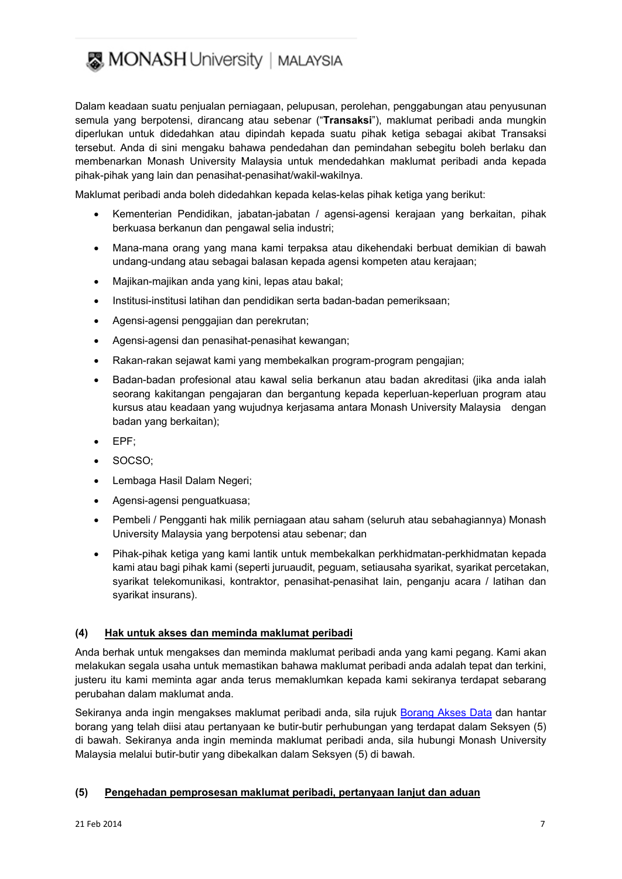Dalam keadaan suatu penjualan perniagaan, pelupusan, perolehan, penggabungan atau penyusunan semula yang berpotensi, dirancang atau sebenar ("**Transaksi**"), maklumat peribadi anda mungkin diperlukan untuk didedahkan atau dipindah kepada suatu pihak ketiga sebagai akibat Transaksi tersebut. Anda di sini mengaku bahawa pendedahan dan pemindahan sebegitu boleh berlaku dan membenarkan Monash University Malaysia untuk mendedahkan maklumat peribadi anda kepada pihak-pihak yang lain dan penasihat-penasihat/wakil-wakilnya.

Maklumat peribadi anda boleh didedahkan kepada kelas-kelas pihak ketiga yang berikut:

- Kementerian Pendidikan, jabatan-jabatan / agensi-agensi kerajaan yang berkaitan, pihak berkuasa berkanun dan pengawal selia industri;
- Mana-mana orang yang mana kami terpaksa atau dikehendaki berbuat demikian di bawah undang-undang atau sebagai balasan kepada agensi kompeten atau kerajaan;
- Majikan-majikan anda yang kini, lepas atau bakal;
- Institusi-institusi latihan dan pendidikan serta badan-badan pemeriksaan;
- Agensi-agensi penggajian dan perekrutan;
- Agensi-agensi dan penasihat-penasihat kewangan;
- Rakan-rakan sejawat kami yang membekalkan program-program pengajian;
- Badan-badan profesional atau kawal selia berkanun atau badan akreditasi (jika anda ialah seorang kakitangan pengajaran dan bergantung kepada keperluan-keperluan program atau kursus atau keadaan yang wujudnya kerjasama antara Monash University Malaysia dengan badan yang berkaitan);
- EPF;
- SOCSO;
- Lembaga Hasil Dalam Negeri;
- Agensi-agensi penguatkuasa;
- Pembeli / Pengganti hak milik perniagaan atau saham (seluruh atau sebahagiannya) Monash University Malaysia yang berpotensi atau sebenar; dan
- Pihak-pihak ketiga yang kami lantik untuk membekalkan perkhidmatan-perkhidmatan kepada kami atau bagi pihak kami (seperti juruaudit, peguam, setiausaha syarikat, syarikat percetakan, syarikat telekomunikasi, kontraktor, penasihat-penasihat lain, penganju acara / latihan dan syarikat insurans).

# **(4) Hak untuk akses dan meminda maklumat peribadi**

Anda berhak untuk mengakses dan meminda maklumat peribadi anda yang kami pegang. Kami akan melakukan segala usaha untuk memastikan bahawa maklumat peribadi anda adalah tepat dan terkini, justeru itu kami meminta agar anda terus memaklumkan kepada kami sekiranya terdapat sebarang perubahan dalam maklumat anda.

Sekiranya anda ingin mengakses maklumat peribadi anda, sila rujuk [Borang Akses Data](http://intranet.monash.edu.my/hr/PDPA/MONASH%20Data%20Access%20Request%20form.doc) dan hantar borang yang telah diisi atau pertanyaan ke butir-butir perhubungan yang terdapat dalam Seksyen (5) di bawah. Sekiranya anda ingin meminda maklumat peribadi anda, sila hubungi Monash University Malaysia melalui butir-butir yang dibekalkan dalam Seksyen (5) di bawah.

# **(5) Pengehadan pemprosesan maklumat peribadi, pertanyaan lanjut dan aduan**